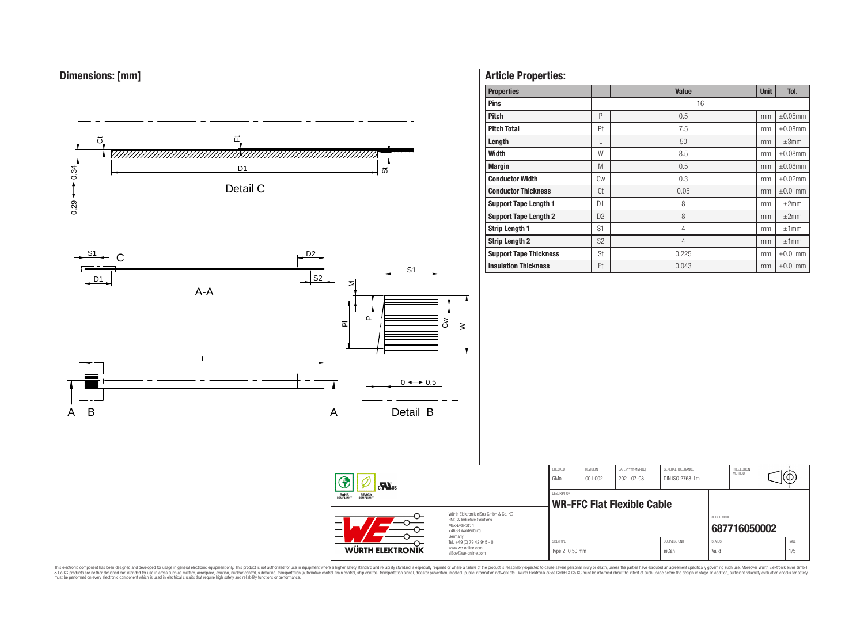



## **Article Properties:**

| <b>Properties</b>             |                | <b>Value</b>   | <b>Unit</b> | Tol.          |
|-------------------------------|----------------|----------------|-------------|---------------|
| <b>Pins</b>                   |                | 16             |             |               |
| <b>Pitch</b>                  | P              | 0.5            | mm          | $\pm 0.05$ mm |
| <b>Pitch Total</b>            | Pt             | 7.5            | mm          | $\pm 0.08$ mm |
| Length                        |                | 50             | mm          | $\pm 3$ mm    |
| Width                         | W              | 8.5            | mm          | $\pm 0.08$ mm |
| <b>Margin</b>                 | M              | 0.5            | mm          | $\pm 0.08$ mm |
| <b>Conductor Width</b>        | Cw             | 0.3            | mm          | $\pm 0.02$ mm |
| <b>Conductor Thickness</b>    | Ct             | 0.05           | mm          | $\pm 0.01$ mm |
| <b>Support Tape Length 1</b>  | D <sub>1</sub> | 8              | mm          | $\pm 2$ mm    |
| <b>Support Tape Length 2</b>  | D <sub>2</sub> | 8              | mm          | ±2mm          |
| <b>Strip Length 1</b>         | S <sub>1</sub> | 4              | mm          | ±1mm          |
| <b>Strip Length 2</b>         | S <sub>2</sub> | $\overline{4}$ | mm          | ±1mm          |
| <b>Support Tape Thickness</b> | <b>St</b>      | 0.225          | mm          | $\pm 0.01$ mm |
| <b>Insulation Thickness</b>   | Ft             | 0.043          | mm          | $\pm 0.01$ mm |

CHECKED REVISION DATE (YYYY-MM-DD) GENERAL TOLERANCE

**WR-FFC Flat Flexible Cable** 

DESCRIPTION

GMo 001.002 2021-07-08 DIN ISO 2768-1m

PROJECTION<br>METHOD

⊕

**[687716050002](https://www.we-online.com/catalog/en/article/687716050002)**

ORDER CODE

SIZE/TYPE BUSINESS UNIT STATUS PAGE Type 2, 0.50 mm eiCan value of the Valid Valid Valid 1/5

This electronic component has been designed and developed for usage in general electronic equipment only. This product is not authorized for subserved requipment where a higher selection equipment where a higher selection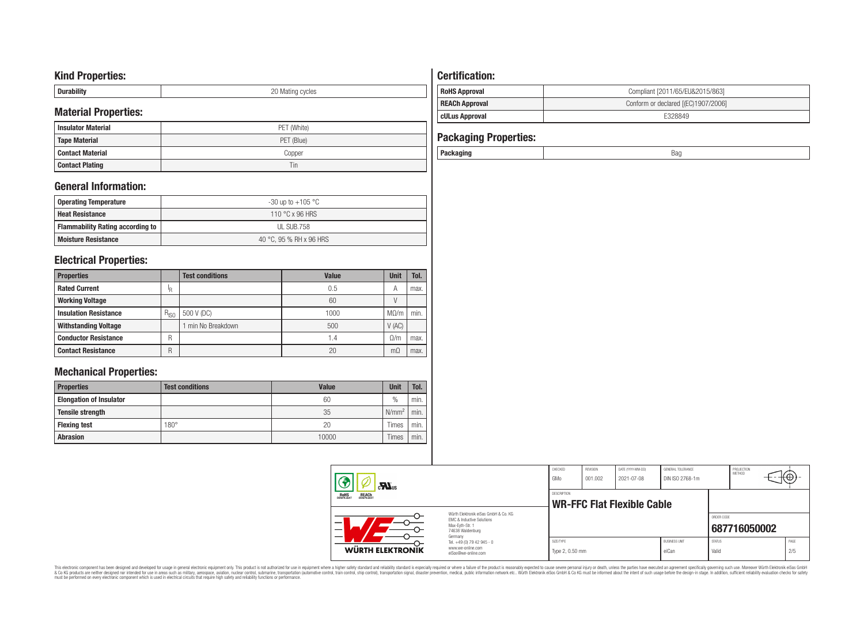## **Kind Properties:**

| <b>Duruping</b> | ററ<br>20 Mating cycles |
|-----------------|------------------------|

# **Material Properties:**

| IVIALEITAI PTODEITIES. |             |  | <b>cULus Approval</b>        | E328849 |
|------------------------|-------------|--|------------------------------|---------|
| l Insulator Material   | PET (White) |  |                              |         |
| Tape Material          | PET (Blue)  |  | <b>Packaging Properties:</b> |         |
| l Contact Material     | Copper      |  | Packaging                    | Bag     |
| <b>Contact Plating</b> | 1 in        |  |                              |         |

# **General Information:**

| Operating Temperature                   | -30 up to +105 $^{\circ}$ C |
|-----------------------------------------|-----------------------------|
| <b>Heat Resistance</b>                  | 110 °C x 96 HRS             |
| <b>Flammability Rating according to</b> | UL SUB.758                  |
| <b>Moisture Resistance</b>              | 40 °C, 95 % RH x 96 HRS     |

# **Electrical Properties:**

| <b>Properties</b>            |           | <b>Test conditions</b> | Value | <b>Unit</b> | Tol. |
|------------------------------|-----------|------------------------|-------|-------------|------|
| <b>Rated Current</b>         | 'R        |                        | 0.5   | А           | max. |
| <b>Working Voltage</b>       |           |                        | 60    |             |      |
| <b>Insulation Resistance</b> | $R_{ISO}$ | 500 V (DC)             | 1000  | $M\Omega/m$ | min. |
| <b>Withstanding Voltage</b>  |           | min No Breakdown       | 500   | V(AC)       |      |
| <b>Conductor Resistance</b>  | R         |                        | 1.4   | $\Omega/m$  | max. |
| <b>Contact Resistance</b>    | R         |                        | 20    | mΩ          | max. |

# **Mechanical Properties:**

| <b>Properties</b>              | <b>Test conditions</b> | <b>Value</b> | <b>Unit</b>       | Tol. |
|--------------------------------|------------------------|--------------|-------------------|------|
| <b>Elongation of Insulator</b> |                        | 60           | $\frac{0}{0}$     | min. |
| <b>Tensile strength</b>        |                        | 35           | N/mm <sup>2</sup> | min. |
| <b>Flexing test</b>            | $180^\circ$            | 20           | Times             | min. |
| <b>Abrasion</b>                |                        | 10000        | Times             | min. |

# **Certification: RoHS Approval RoHS Approval Compliant** [2011/65/EU&2015/863] **REACh Approval REACh Approval Conform or declared [(EC)1907/2006]**

# **Packaging Properties:**<br>Packaging

| $\mathbf{M}$ <sub>us</sub><br><b>REACH</b><br>COMPLIANT<br><b>ROHS</b><br>COMPLIANT                      |                                                                                   | CHECKED<br>GMo               | REVISION<br>001.002 | DATE (YYYY-MM-DD)<br>2021-07-08 | GENERAL TOLERANCE<br>DIN ISO 2768-1m |                        | PROJECTION<br>METHOD | tΨ.         |
|----------------------------------------------------------------------------------------------------------|-----------------------------------------------------------------------------------|------------------------------|---------------------|---------------------------------|--------------------------------------|------------------------|----------------------|-------------|
|                                                                                                          |                                                                                   | DESCRIPTION                  |                     | WR-FFC Flat Flexible Cable      |                                      |                        |                      |             |
| Würth Flektronik eiSos GmbH & Co. KG<br>EMC & Inductive Solutions<br>Max-Evth-Str. 1<br>74638 Waldenburg |                                                                                   |                              |                     |                                 |                                      | ORDER CODE             | 687716050002         |             |
| <b>WÜRTH ELEKTRONIK</b>                                                                                  | Germany<br>Tel. +49 (0) 79 42 945 - 0<br>www.we-online.com<br>eiSos@we-online.com | SIZE/TYPE<br>Type 2, 0.50 mm |                     |                                 | <b>BLISINESS LINIT</b><br>eiCan      | <b>STATUS</b><br>Valid |                      | PAGE<br>2/5 |

This electronic component has been designed and developed for usage in general electronic equipment only. This product is not authorized for subserved requipment where a higher selection equipment where a higher selection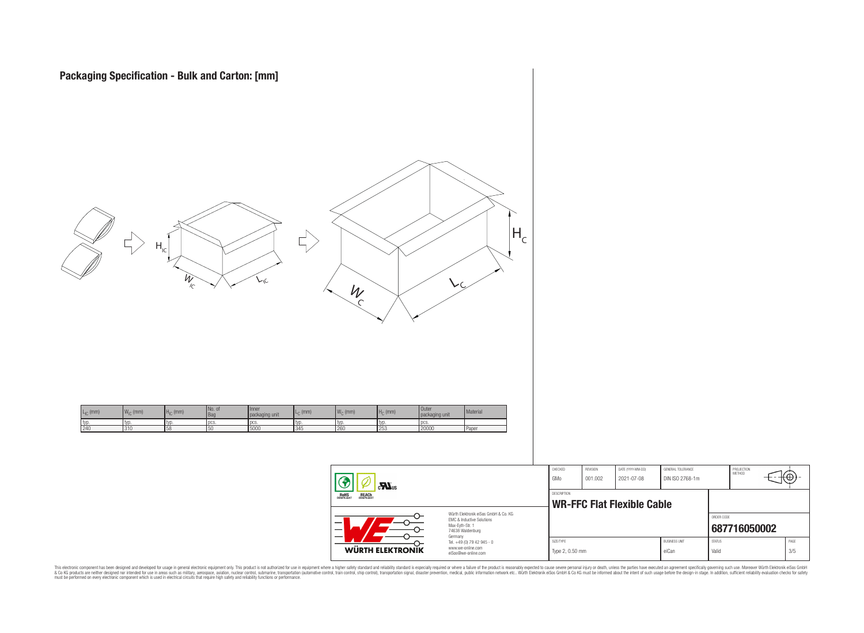

 $\equiv$ 

| WÜRTH ELEKTRONIK                           | www.we-online.com<br>eiSos@we-online.com                         | Type 2, 0.50 mm |                            |                                   | eiCan                                | Valid         |                      | 3/5    |
|--------------------------------------------|------------------------------------------------------------------|-----------------|----------------------------|-----------------------------------|--------------------------------------|---------------|----------------------|--------|
|                                            | Germany<br>Tel. +49 (0) 79 42 945 - 0                            | SIZE/TYPE       |                            |                                   | <b>BUSINESS UNIT</b>                 | <b>STATUS</b> |                      | PAGE   |
|                                            | EMC & Inductive Solutions<br>Max-Evth-Str. 1<br>74638 Waldenburg |                 |                            |                                   |                                      |               | 687716050002         |        |
|                                            | Würth Elektronik eiSos GmbH & Co. KG                             |                 |                            |                                   |                                      | ORDER CODE    |                      |        |
| OHS<br>Pliant<br><b>REACH</b><br>COMPLIANT |                                                                  |                 |                            | <b>WR-FFC Flat Flexible Cable</b> |                                      |               |                      |        |
| €<br>$\mathbf{r}$                          |                                                                  |                 |                            |                                   |                                      |               |                      |        |
|                                            |                                                                  | CHECKED<br>GMo  | <b>REVISION</b><br>001.002 | DATE (YYYY-MM-DD)<br>2021-07-08   | GENERAL TOLERANCE<br>DIN ISO 2768-1m |               | PROJECTION<br>METHOD | ⊤י (⊕⊤ |

This electronic component has been designed and developed for usage in general electronic equipment only. This product is not authorized for subserved requipment where a higher selection equipment where a higher selection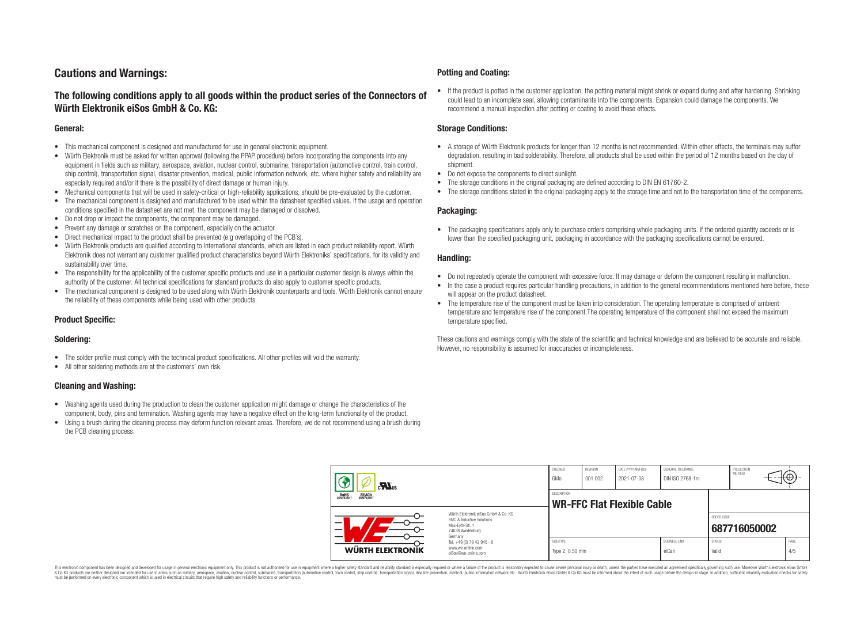## **Cautions and Warnings:**

## **The following conditions apply to all goods within the product series of the Connectors of Würth Elektronik eiSos GmbH & Co. KG:**

#### **General:**

- This mechanical component is designed and manufactured for use in general electronic equipment.
- Würth Elektronik must be asked for written approval (following the PPAP procedure) before incorporating the components into any equipment in fields such as military, aerospace, aviation, nuclear control, submarine, transportation (automotive control, train control, ship control), transportation signal, disaster prevention, medical, public information network, etc. where higher safety and reliability are especially required and/or if there is the possibility of direct damage or human injury.
- Mechanical components that will be used in safety-critical or high-reliability applications, should be pre-evaluated by the customer.
- The mechanical component is designed and manufactured to be used within the datasheet specified values. If the usage and operation conditions specified in the datasheet are not met, the component may be damaged or dissolved.
- Do not drop or impact the components, the component may be damaged.
- Prevent any damage or scratches on the component, especially on the actuator.
- Direct mechanical impact to the product shall be prevented (e.g overlapping of the PCB's).
- Würth Elektronik products are qualified according to international standards, which are listed in each product reliability report. Würth Elektronik does not warrant any customer qualified product characteristics beyond Würth Elektroniks' specifications, for its validity and sustainability over time.
- The responsibility for the applicability of the customer specific products and use in a particular customer design is always within the authority of the customer. All technical specifications for standard products do also apply to customer specific products.
- The mechanical component is designed to be used along with Würth Elektronik counterparts and tools. Würth Elektronik cannot ensure the reliability of these components while being used with other products.

## **Product Specific:**

#### **Soldering:**

- The solder profile must comply with the technical product specifications. All other profiles will void the warranty.
- All other soldering methods are at the customers' own risk.

#### **Cleaning and Washing:**

- Washing agents used during the production to clean the customer application might damage or change the characteristics of the component, body, pins and termination. Washing agents may have a negative effect on the long-term functionality of the product.
- Using a brush during the cleaning process may deform function relevant areas. Therefore, we do not recommend using a brush during the PCB cleaning process.

#### **Potting and Coating:**

• If the product is potted in the customer application, the potting material might shrink or expand during and after hardening. Shrinking could lead to an incomplete seal, allowing contaminants into the components. Expansion could damage the components. We recommend a manual inspection after potting or coating to avoid these effects.

#### **Storage Conditions:**

- A storage of Würth Elektronik products for longer than 12 months is not recommended. Within other effects, the terminals may suffer degradation, resulting in bad solderability. Therefore, all products shall be used within the period of 12 months based on the day of shipment.
- Do not expose the components to direct sunlight.
- The storage conditions in the original packaging are defined according to DIN EN 61760-2.
- The storage conditions stated in the original packaging apply to the storage time and not to the transportation time of the components.

#### **Packaging:**

• The packaging specifications apply only to purchase orders comprising whole packaging units. If the ordered quantity exceeds or is lower than the specified packaging unit, packaging in accordance with the packaging specifications cannot be ensured.

#### **Handling:**

- Do not repeatedly operate the component with excessive force. It may damage or deform the component resulting in malfunction.
- In the case a product requires particular handling precautions, in addition to the general recommendations mentioned here before, these will appear on the product datasheet
- The temperature rise of the component must be taken into consideration. The operating temperature is comprised of ambient temperature and temperature rise of the component.The operating temperature of the component shall not exceed the maximum temperature specified.

These cautions and warnings comply with the state of the scientific and technical knowledge and are believed to be accurate and reliable. However, no responsibility is assumed for inaccuracies or incompleteness.

| $\mathbf{r}$                                                                                                  |                                                                                   | CHECKED<br>GMo                                          | <b>REVISION</b><br>001.002 | DATE (YYYY-MM-DD)<br>2021-07-08 | GENERAL TOLERANCE<br>DIN ISO 2768-1m |                        | PROJECTION<br>METHOD | ₩           |
|---------------------------------------------------------------------------------------------------------------|-----------------------------------------------------------------------------------|---------------------------------------------------------|----------------------------|---------------------------------|--------------------------------------|------------------------|----------------------|-------------|
| ROHS<br>COMPLIANT<br><b>REACH</b><br>COMPLIANT                                                                |                                                                                   | <b>DESCRIPTION</b><br><b>WR-FFC Flat Flexible Cable</b> |                            |                                 |                                      |                        |                      |             |
| Würth Elektronik eiSos GmbH & Co. KG<br>EMC & Inductive Solutions<br>–<br>Max-Eyth-Str. 1<br>74638 Waldenburg |                                                                                   |                                                         |                            |                                 |                                      | ORDER CODE             | 687716050002         |             |
| <b>WÜRTH ELEKTRONIK</b>                                                                                       | Germany<br>Tel. +49 (0) 79 42 945 - 0<br>www.we-online.com<br>eiSos@we-online.com | SIZE/TYPE<br>Type 2, 0.50 mm                            |                            |                                 | <b>BUSINESS UNIT</b><br>eiCan        | <b>STATUS</b><br>Valid |                      | PAGE<br>4/5 |

This electronic component has been designed and developed for usage in general electronic equipment only. This product is not authorized for use in equipment where a higher safety standard and reliability standard si espec & Ook product a label and the membed of the seasuch as marked and as which such a membed and the such assume that income in the seasuch and the simulation and the such assume that include to the such a membed and the such